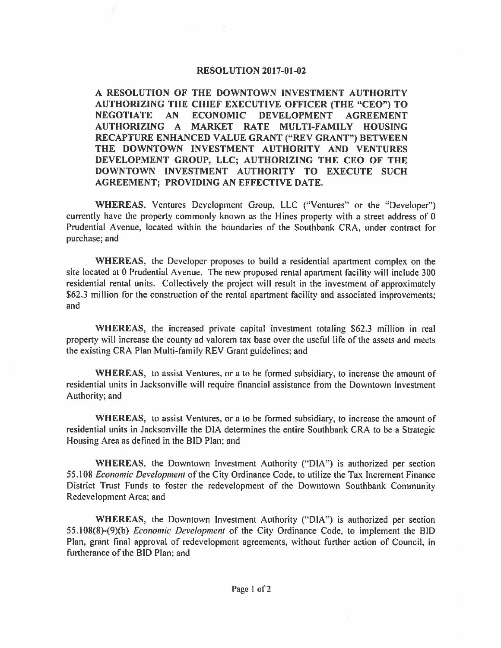## **RESOLUTION 2017-01-02**

**A RESOLUTION OF THE DOWNTOWN INVESTMENT AUTHORITY AUTHORIZING THE CHIEF EXECUTIVE OFFICER (THE "CEO") TO NEGOTIATE AN ECONOMIC DEVELOPMENT AGREEMENT AUTHORIZING A MARKET RATE MULTI-FAMILY HOUSING RECAPTURE ENHANCED VALUE GRANT ("REV GRANT") BETWEEN THE DOWNTOWN INVESTMENT AUTHORITY AND VENTURES DEVELOPMENT GROUP, LLC; AUTHORIZING THE CEO OF THE DOWNTOWN INVESTMENT AUTHORITY TO EXECUTE SUCH AGREEMENT: PROVIDING AN EFFECTIVE DATE.** 

**WHEREAS,** Ventures Development Group, LLC ("Ventures" or the "Developer") currently have the property commonly known as the Hines property with a street address of 0 Prudential Avenue, located within the boundaries of the Southbank CRA, under contract for purchase; and

**WHEREAS,** the Developer proposes to build a residential apartment complex on the site located at O Prudential Avenue. The new proposed rental apartment facility will include 300 residential rental units. Collectively the project will result in the investment of approximately \$62.3 million for the construction of the rental apartment facility and associated improvements; and

**WHEREAS,** the increased private capital investment totaling \$62.3 million in real property will increase the county ad valorem tax base over the useful life of the assets and meets the existing CRA Plan Multi-family REV Grant guidelines; and

**WHEREAS,** to assist Ventures, or a to be formed subsidiary, to increase the amount of residential units in Jacksonville will require financial assistance from the Downtown Investment Authority; and

**WHEREAS,** to assist Ventures, or a to be formed subsidiary, to increase the amount of residential units in Jacksonville the DIA determines the entire Southbank CRA to be a Strategic Housing Area as defined in the BID Plan; and

**WHEREAS,** the Downtown Investment Authority ("DIA") is authorized per section 55. 108 *Economic Development* of the City Ordinance Code, to utilize the Tax Increment Finance District Trust Funds to foster the redevelopment of the Downtown Southbank Community Redevelopment Area; and

**WHEREAS,** the Downtown Investment Authority ("DIA") is authorized per section 55.108(8)-(9)(b) *Economic Development* of the City Ordinance Code, to implement the BID Plan, grant final approval of redevelopment agreements, without further action of Council, in furtherance of the BID Plan; and